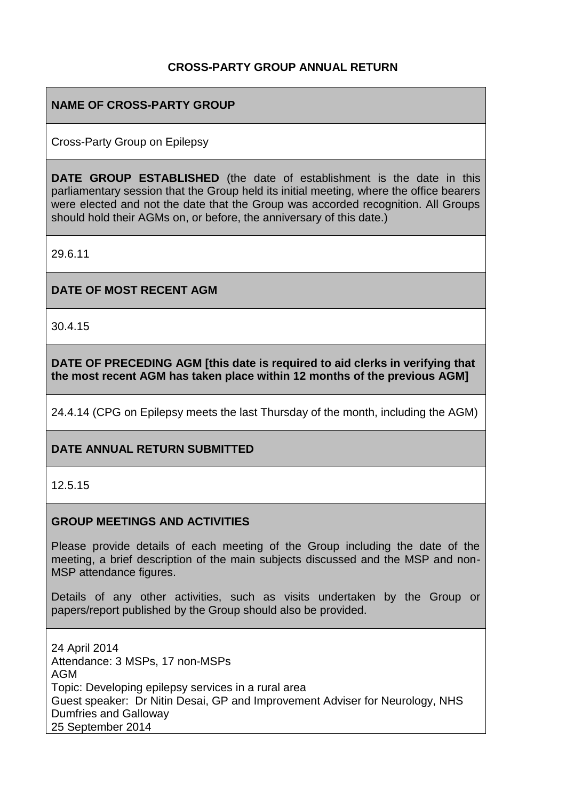## **CROSS-PARTY GROUP ANNUAL RETURN**

### **NAME OF CROSS-PARTY GROUP**

Cross-Party Group on Epilepsy

**DATE GROUP ESTABLISHED** (the date of establishment is the date in this parliamentary session that the Group held its initial meeting, where the office bearers were elected and not the date that the Group was accorded recognition. All Groups should hold their AGMs on, or before, the anniversary of this date.)

29.6.11

**DATE OF MOST RECENT AGM**

30.4.15

**DATE OF PRECEDING AGM [this date is required to aid clerks in verifying that the most recent AGM has taken place within 12 months of the previous AGM]**

24.4.14 (CPG on Epilepsy meets the last Thursday of the month, including the AGM)

## **DATE ANNUAL RETURN SUBMITTED**

12.5.15

#### **GROUP MEETINGS AND ACTIVITIES**

Please provide details of each meeting of the Group including the date of the meeting, a brief description of the main subjects discussed and the MSP and non-MSP attendance figures.

Details of any other activities, such as visits undertaken by the Group or papers/report published by the Group should also be provided.

24 April 2014 Attendance: 3 MSPs, 17 non-MSPs AGM Topic: Developing epilepsy services in a rural area Guest speaker: Dr Nitin Desai, GP and Improvement Adviser for Neurology, NHS Dumfries and Galloway 25 September 2014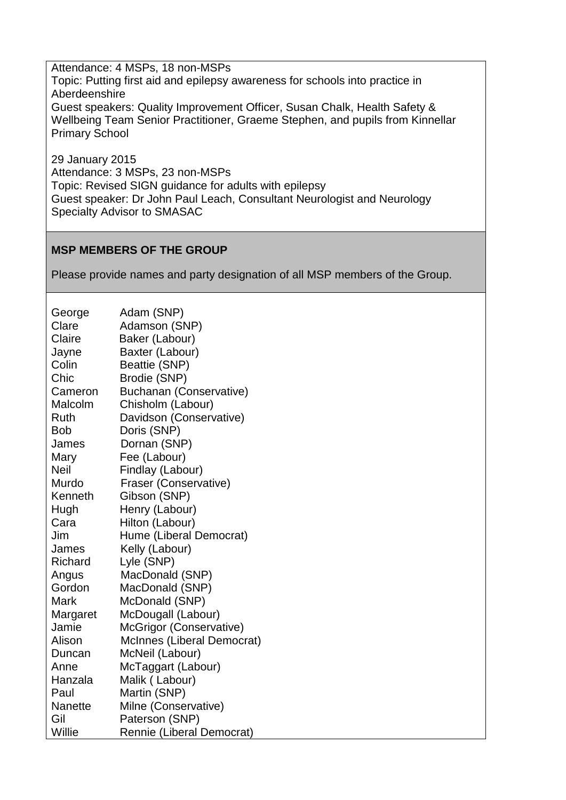Attendance: 4 MSPs, 18 non-MSPs Topic: Putting first aid and epilepsy awareness for schools into practice in Aberdeenshire Guest speakers: Quality Improvement Officer, Susan Chalk, Health Safety & Wellbeing Team Senior Practitioner, Graeme Stephen, and pupils from Kinnellar Primary School

29 January 2015 Attendance: 3 MSPs, 23 non-MSPs Topic: Revised SIGN guidance for adults with epilepsy Guest speaker: Dr John Paul Leach, Consultant Neurologist and Neurology Specialty Advisor to SMASAC

# **MSP MEMBERS OF THE GROUP**

Please provide names and party designation of all MSP members of the Group.

| George      | Adam (SNP)                 |
|-------------|----------------------------|
| Clare       | Adamson (SNP)              |
| Claire      | Baker (Labour)             |
| Jayne       | Baxter (Labour)            |
| Colin       | Beattie (SNP)              |
| Chic        | Brodie (SNP)               |
| Cameron     | Buchanan (Conservative)    |
| Malcolm     | Chisholm (Labour)          |
| Ruth        | Davidson (Conservative)    |
| <b>Bob</b>  | Doris (SNP)                |
| James       | Dornan (SNP)               |
| Mary        | Fee (Labour)               |
| <b>Neil</b> | Findlay (Labour)           |
| Murdo       | Fraser (Conservative)      |
| Kenneth     | Gibson (SNP)               |
| Hugh        | Henry (Labour)             |
| Cara        | Hilton (Labour)            |
| Jim         | Hume (Liberal Democrat)    |
| James       | Kelly (Labour)             |
| Richard     | Lyle (SNP)                 |
| Angus       | MacDonald (SNP)            |
| Gordon      | MacDonald (SNP)            |
| Mark        | McDonald (SNP)             |
| Margaret    | McDougall (Labour)         |
| Jamie       | McGrigor (Conservative)    |
| Alison      | McInnes (Liberal Democrat) |
| Duncan      | McNeil (Labour)            |
| Anne        | McTaggart (Labour)         |
| Hanzala     | Malik (Labour)             |
| Paul        | Martin (SNP)               |
| Nanette     | Milne (Conservative)       |
| Gil         | Paterson (SNP)             |
| Willie      | Rennie (Liberal Democrat)  |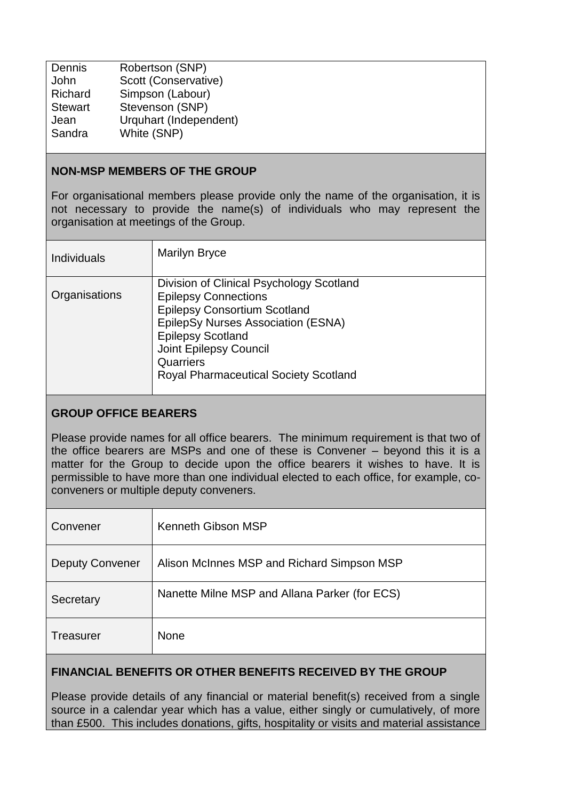| Dennis  | Robertson (SNP)        |
|---------|------------------------|
| John    | Scott (Conservative)   |
| Richard | Simpson (Labour)       |
| Stewart | Stevenson (SNP)        |
| Jean    | Urquhart (Independent) |
| Sandra  | White (SNP)            |
|         |                        |

#### **NON-MSP MEMBERS OF THE GROUP**

For organisational members please provide only the name of the organisation, it is not necessary to provide the name(s) of individuals who may represent the organisation at meetings of the Group.

| <b>Individuals</b> | <b>Marilyn Bryce</b>                                                                                                                                                                                                                                                    |
|--------------------|-------------------------------------------------------------------------------------------------------------------------------------------------------------------------------------------------------------------------------------------------------------------------|
| Organisations      | Division of Clinical Psychology Scotland<br><b>Epilepsy Connections</b><br><b>Epilepsy Consortium Scotland</b><br>EpilepSy Nurses Association (ESNA)<br><b>Epilepsy Scotland</b><br>Joint Epilepsy Council<br>Quarriers<br><b>Royal Pharmaceutical Society Scotland</b> |

## **GROUP OFFICE BEARERS**

Please provide names for all office bearers. The minimum requirement is that two of the office bearers are MSPs and one of these is Convener – beyond this it is a matter for the Group to decide upon the office bearers it wishes to have. It is permissible to have more than one individual elected to each office, for example, coconveners or multiple deputy conveners.

| Convener               | Kenneth Gibson MSP                            |
|------------------------|-----------------------------------------------|
| <b>Deputy Convener</b> | Alison McInnes MSP and Richard Simpson MSP    |
| Secretary              | Nanette Milne MSP and Allana Parker (for ECS) |
| Treasurer              | <b>None</b>                                   |

## **FINANCIAL BENEFITS OR OTHER BENEFITS RECEIVED BY THE GROUP**

Please provide details of any financial or material benefit(s) received from a single source in a calendar year which has a value, either singly or cumulatively, of more than £500. This includes donations, gifts, hospitality or visits and material assistance